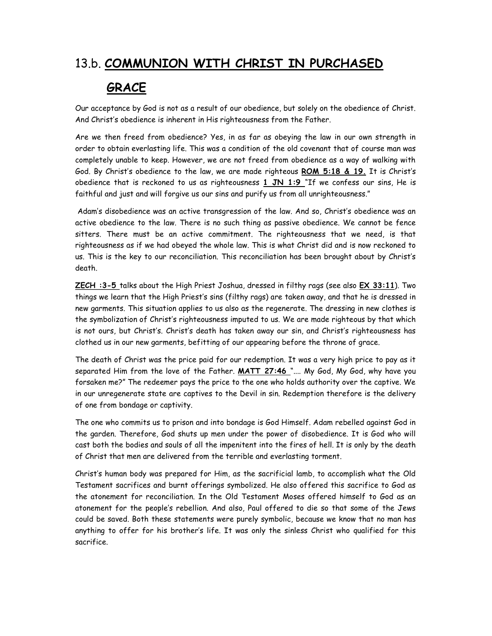## 13.b. COMMUNION WITH CHRIST IN PURCHASED

## GRACE

Our acceptance by God is not as a result of our obedience, but solely on the obedience of Christ. And Christ's obedience is inherent in His righteousness from the Father.

Are we then freed from obedience? Yes, in as far as obeying the law in our own strength in order to obtain everlasting life. This was a condition of the old covenant that of course man was completely unable to keep. However, we are not freed from obedience as a way of walking with God. By Christ's obedience to the law, we are made righteous ROM 5:18 & 19. It is Christ's obedience that is reckoned to us as righteousness  $1$  JN  $1:9$  "If we confess our sins, He is faithful and just and will forgive us our sins and purify us from all unrighteousness."

 Adam's disobedience was an active transgression of the law. And so, Christ's obedience was an active obedience to the law. There is no such thing as passive obedience. We cannot be fence sitters. There must be an active commitment. The righteousness that we need, is that righteousness as if we had obeyed the whole law. This is what Christ did and is now reckoned to us. This is the key to our reconciliation. This reconciliation has been brought about by Christ's death.

ZECH :3-5 talks about the High Priest Joshua, dressed in filthy rags (see also EX 33:11). Two things we learn that the High Priest's sins (filthy rags) are taken away, and that he is dressed in new garments. This situation applies to us also as the regenerate. The dressing in new clothes is the symbolization of Christ's righteousness imputed to us. We are made righteous by that which is not ours, but Christ's. Christ's death has taken away our sin, and Christ's righteousness has clothed us in our new garments, befitting of our appearing before the throne of grace.

The death of Christ was the price paid for our redemption. It was a very high price to pay as it separated Him from the love of the Father. MATT 27:46 ".... My God, My God, why have you forsaken me?" The redeemer pays the price to the one who holds authority over the captive. We in our unregenerate state are captives to the Devil in sin. Redemption therefore is the delivery of one from bondage or captivity.

The one who commits us to prison and into bondage is God Himself. Adam rebelled against God in the garden. Therefore, God shuts up men under the power of disobedience. It is God who will cast both the bodies and souls of all the impenitent into the fires of hell. It is only by the death of Christ that men are delivered from the terrible and everlasting torment.

Christ's human body was prepared for Him, as the sacrificial lamb, to accomplish what the Old Testament sacrifices and burnt offerings symbolized. He also offered this sacrifice to God as the atonement for reconciliation. In the Old Testament Moses offered himself to God as an atonement for the people's rebellion. And also, Paul offered to die so that some of the Jews could be saved. Both these statements were purely symbolic, because we know that no man has anything to offer for his brother's life. It was only the sinless Christ who qualified for this sacrifice.